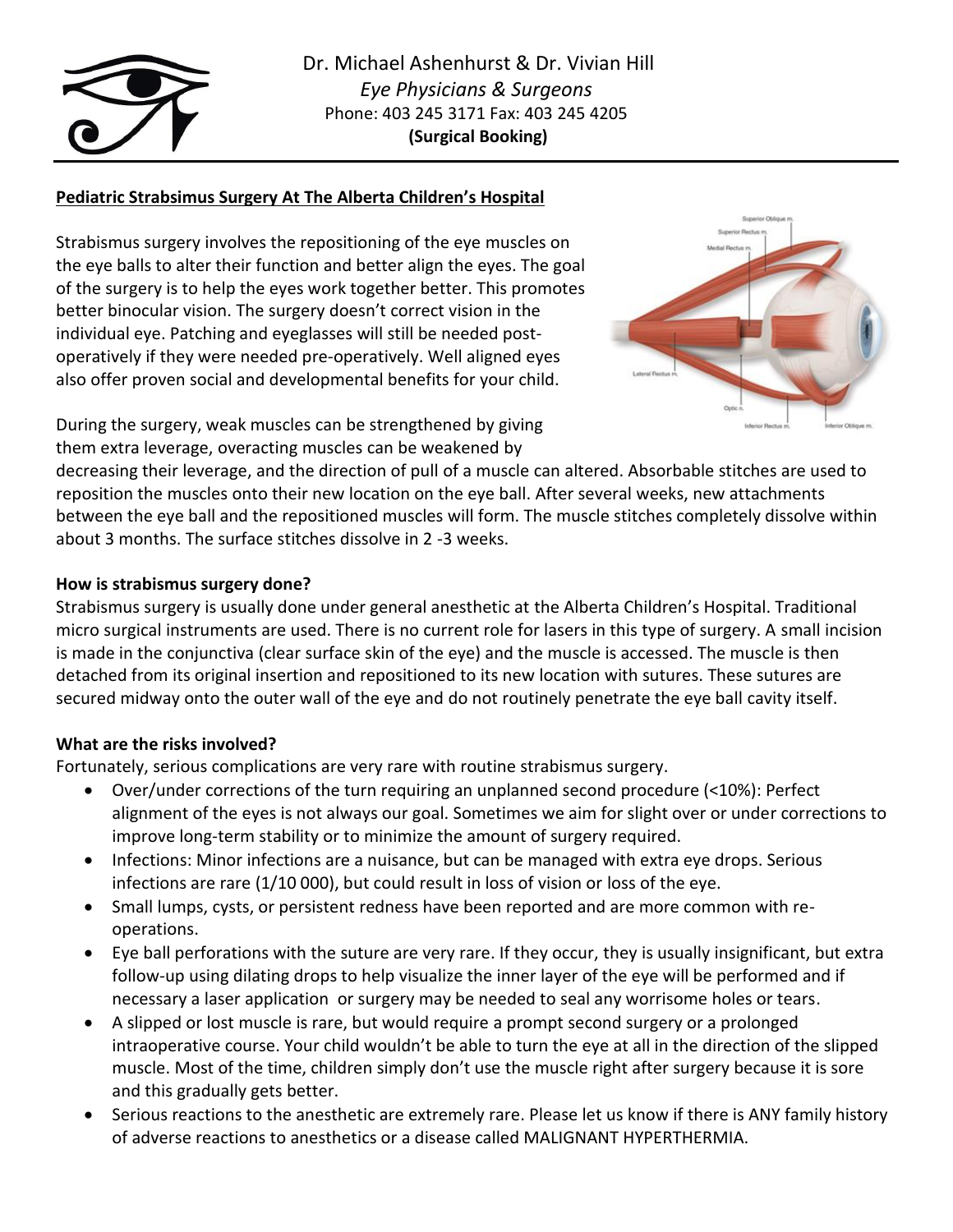

# **Pediatric Strabsimus Surgery At The Alberta Children's Hospital**

Strabismus surgery involves the repositioning of the eye muscles on the eye balls to alter their function and better align the eyes. The goal of the surgery is to help the eyes work together better. This promotes better binocular vision. The surgery doesn't correct vision in the individual eye. Patching and eyeglasses will still be needed postoperatively if they were needed pre-operatively. Well aligned eyes also offer proven social and developmental benefits for your child.



During the surgery, weak muscles can be strengthened by giving them extra leverage, overacting muscles can be weakened by

decreasing their leverage, and the direction of pull of a muscle can altered. Absorbable stitches are used to reposition the muscles onto their new location on the eye ball. After several weeks, new attachments between the eye ball and the repositioned muscles will form. The muscle stitches completely dissolve within about 3 months. The surface stitches dissolve in 2 -3 weeks.

# **How is strabismus surgery done?**

Strabismus surgery is usually done under general anesthetic at the Alberta Children's Hospital. Traditional micro surgical instruments are used. There is no current role for lasers in this type of surgery. A small incision is made in the conjunctiva (clear surface skin of the eye) and the muscle is accessed. The muscle is then detached from its original insertion and repositioned to its new location with sutures. These sutures are secured midway onto the outer wall of the eye and do not routinely penetrate the eye ball cavity itself.

## **What are the risks involved?**

Fortunately, serious complications are very rare with routine strabismus surgery.

- Over/under corrections of the turn requiring an unplanned second procedure (<10%): Perfect alignment of the eyes is not always our goal. Sometimes we aim for slight over or under corrections to improve long-term stability or to minimize the amount of surgery required.
- Infections: Minor infections are a nuisance, but can be managed with extra eye drops. Serious infections are rare (1/10 000), but could result in loss of vision or loss of the eye.
- Small lumps, cysts, or persistent redness have been reported and are more common with reoperations.
- Eye ball perforations with the suture are very rare. If they occur, they is usually insignificant, but extra follow-up using dilating drops to help visualize the inner layer of the eye will be performed and if necessary a laser application or surgery may be needed to seal any worrisome holes or tears.
- A slipped or lost muscle is rare, but would require a prompt second surgery or a prolonged intraoperative course. Your child wouldn't be able to turn the eye at all in the direction of the slipped muscle. Most of the time, children simply don't use the muscle right after surgery because it is sore and this gradually gets better.
- Serious reactions to the anesthetic are extremely rare. Please let us know if there is ANY family history of adverse reactions to anesthetics or a disease called MALIGNANT HYPERTHERMIA.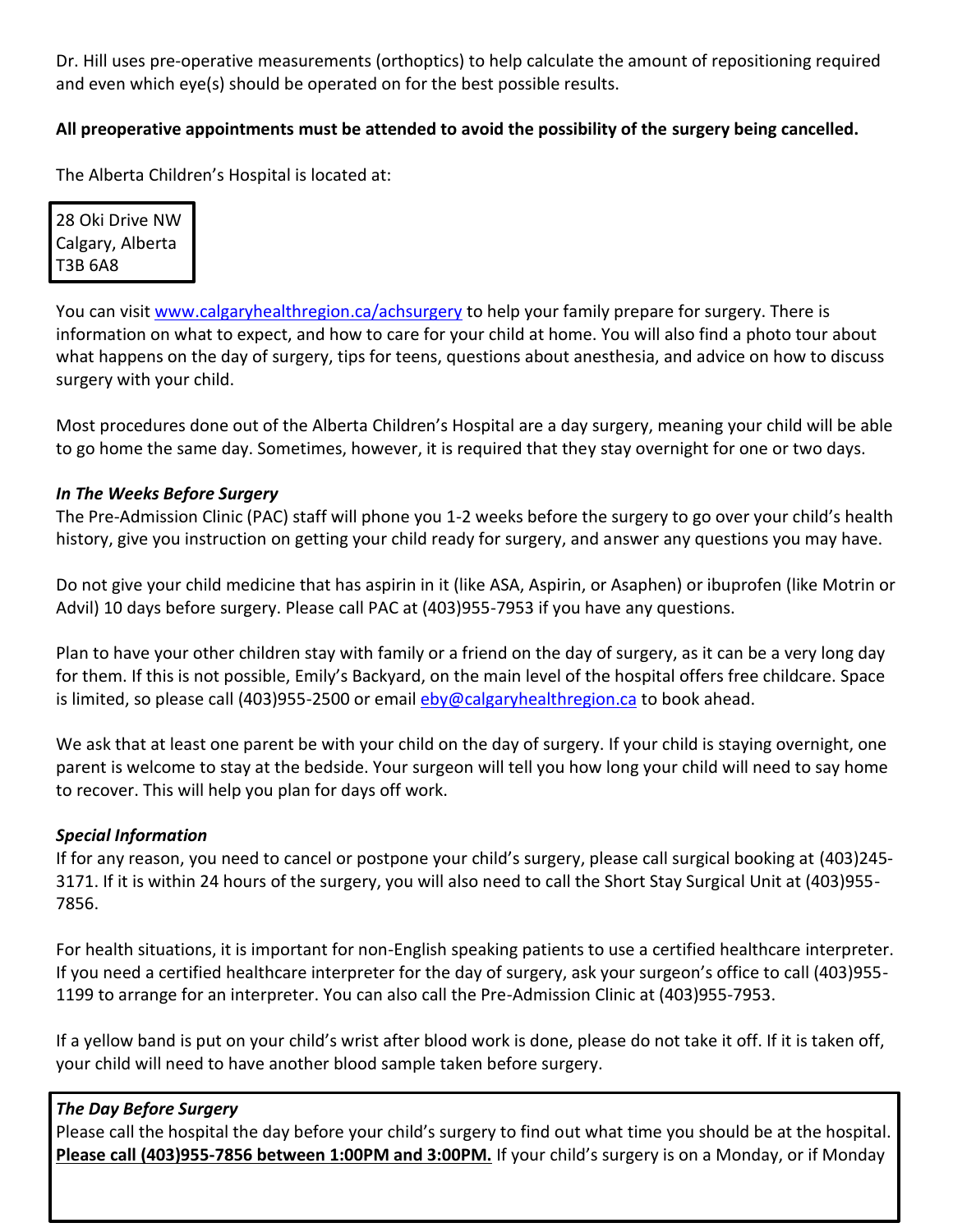Dr. Hill uses pre-operative measurements (orthoptics) to help calculate the amount of repositioning required and even which eye(s) should be operated on for the best possible results.

# **All preoperative appointments must be attended to avoid the possibility of the surgery being cancelled.**

The Alberta Children's Hospital is located at:

28 Oki Drive NW Calgary, Alberta T3B 6A8

You can visit [www.calgaryhealthregion.ca/achsurgery](http://www.calgaryhealthregion.ca/achsurgery) to help your family prepare for surgery. There is information on what to expect, and how to care for your child at home. You will also find a photo tour about what happens on the day of surgery, tips for teens, questions about anesthesia, and advice on how to discuss surgery with your child.

Most procedures done out of the Alberta Children's Hospital are a day surgery, meaning your child will be able to go home the same day. Sometimes, however, it is required that they stay overnight for one or two days.

## *In The Weeks Before Surgery*

The Pre-Admission Clinic (PAC) staff will phone you 1-2 weeks before the surgery to go over your child's health history, give you instruction on getting your child ready for surgery, and answer any questions you may have.

Do not give your child medicine that has aspirin in it (like ASA, Aspirin, or Asaphen) or ibuprofen (like Motrin or Advil) 10 days before surgery. Please call PAC at (403)955-7953 if you have any questions.

Plan to have your other children stay with family or a friend on the day of surgery, as it can be a very long day for them. If this is not possible, Emily's Backyard, on the main level of the hospital offers free childcare. Space is limited, so please call (403)955-2500 or email  $eby@calgaryhealthregion.ca$  to book ahead.</u>

We ask that at least one parent be with your child on the day of surgery. If your child is staying overnight, one parent is welcome to stay at the bedside. Your surgeon will tell you how long your child will need to say home to recover. This will help you plan for days off work.

## *Special Information*

If for any reason, you need to cancel or postpone your child's surgery, please call surgical booking at (403)245- 3171. If it is within 24 hours of the surgery, you will also need to call the Short Stay Surgical Unit at (403)955- 7856.

For health situations, it is important for non-English speaking patients to use a certified healthcare interpreter. If you need a certified healthcare interpreter for the day of surgery, ask your surgeon's office to call (403)955- 1199 to arrange for an interpreter. You can also call the Pre-Admission Clinic at (403)955-7953.

If a yellow band is put on your child's wrist after blood work is done, please do not take it off. If it is taken off, your child will need to have another blood sample taken before surgery.

## *The Day Before Surgery*

Please call the hospital the day before your child's surgery to find out what time you should be at the hospital. **Please call (403)955-7856 between 1:00PM and 3:00PM.** If your child's surgery is on a Monday, or if Monday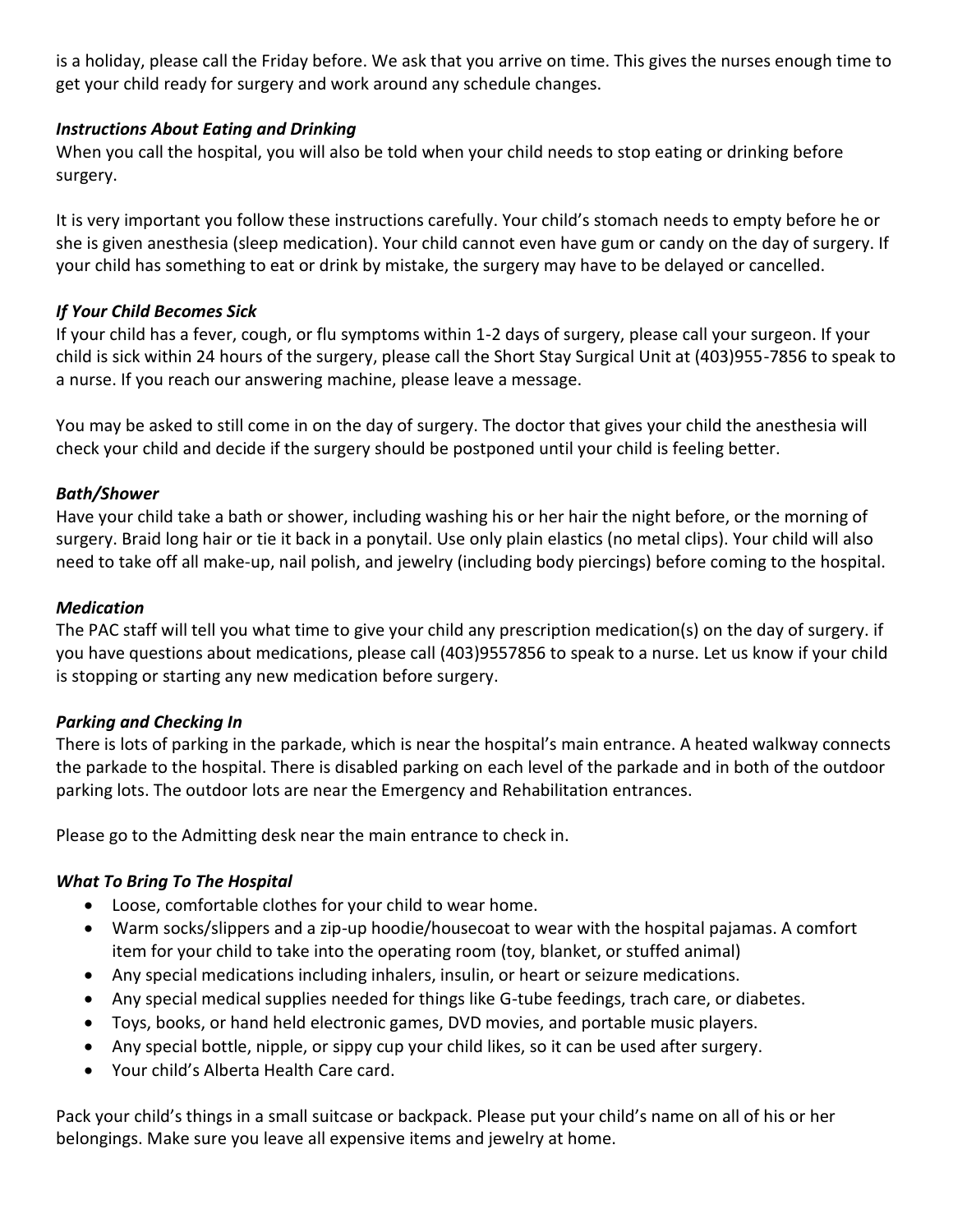is a holiday, please call the Friday before. We ask that you arrive on time. This gives the nurses enough time to get your child ready for surgery and work around any schedule changes.

## *Instructions About Eating and Drinking*

When you call the hospital, you will also be told when your child needs to stop eating or drinking before surgery.

It is very important you follow these instructions carefully. Your child's stomach needs to empty before he or she is given anesthesia (sleep medication). Your child cannot even have gum or candy on the day of surgery. If your child has something to eat or drink by mistake, the surgery may have to be delayed or cancelled.

# *If Your Child Becomes Sick*

If your child has a fever, cough, or flu symptoms within 1-2 days of surgery, please call your surgeon. If your child is sick within 24 hours of the surgery, please call the Short Stay Surgical Unit at (403)955-7856 to speak to a nurse. If you reach our answering machine, please leave a message.

You may be asked to still come in on the day of surgery. The doctor that gives your child the anesthesia will check your child and decide if the surgery should be postponed until your child is feeling better.

## *Bath/Shower*

Have your child take a bath or shower, including washing his or her hair the night before, or the morning of surgery. Braid long hair or tie it back in a ponytail. Use only plain elastics (no metal clips). Your child will also need to take off all make-up, nail polish, and jewelry (including body piercings) before coming to the hospital.

# *Medication*

The PAC staff will tell you what time to give your child any prescription medication(s) on the day of surgery. if you have questions about medications, please call (403)9557856 to speak to a nurse. Let us know if your child is stopping or starting any new medication before surgery.

# *Parking and Checking In*

There is lots of parking in the parkade, which is near the hospital's main entrance. A heated walkway connects the parkade to the hospital. There is disabled parking on each level of the parkade and in both of the outdoor parking lots. The outdoor lots are near the Emergency and Rehabilitation entrances.

Please go to the Admitting desk near the main entrance to check in.

# *What To Bring To The Hospital*

- Loose, comfortable clothes for your child to wear home.
- Warm socks/slippers and a zip-up hoodie/housecoat to wear with the hospital pajamas. A comfort item for your child to take into the operating room (toy, blanket, or stuffed animal)
- Any special medications including inhalers, insulin, or heart or seizure medications.
- Any special medical supplies needed for things like G-tube feedings, trach care, or diabetes.
- Toys, books, or hand held electronic games, DVD movies, and portable music players.
- Any special bottle, nipple, or sippy cup your child likes, so it can be used after surgery.
- Your child's Alberta Health Care card.

Pack your child's things in a small suitcase or backpack. Please put your child's name on all of his or her belongings. Make sure you leave all expensive items and jewelry at home.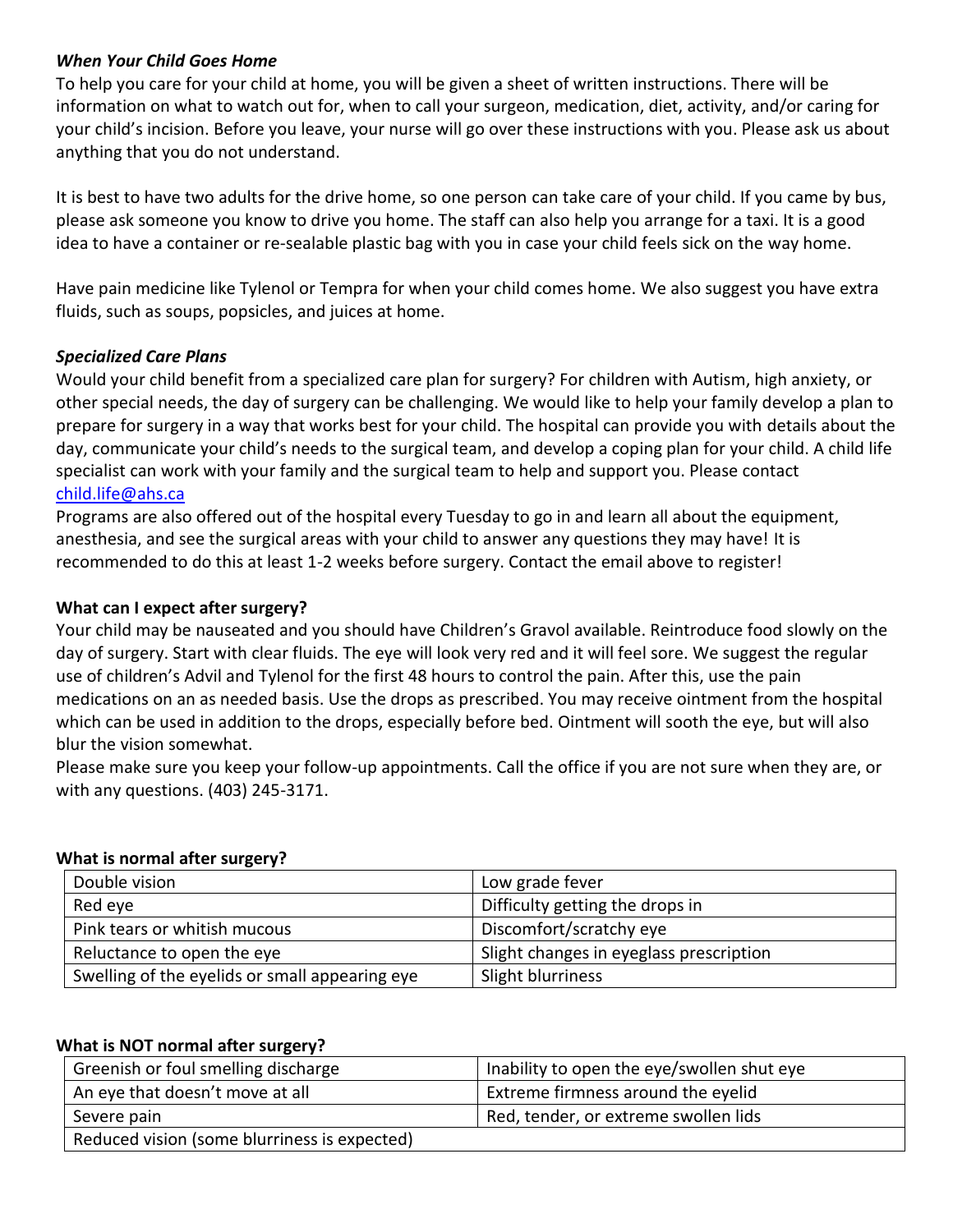## *When Your Child Goes Home*

To help you care for your child at home, you will be given a sheet of written instructions. There will be information on what to watch out for, when to call your surgeon, medication, diet, activity, and/or caring for your child's incision. Before you leave, your nurse will go over these instructions with you. Please ask us about anything that you do not understand.

It is best to have two adults for the drive home, so one person can take care of your child. If you came by bus, please ask someone you know to drive you home. The staff can also help you arrange for a taxi. It is a good idea to have a container or re-sealable plastic bag with you in case your child feels sick on the way home.

Have pain medicine like Tylenol or Tempra for when your child comes home. We also suggest you have extra fluids, such as soups, popsicles, and juices at home.

## *Specialized Care Plans*

Would your child benefit from a specialized care plan for surgery? For children with Autism, high anxiety, or other special needs, the day of surgery can be challenging. We would like to help your family develop a plan to prepare for surgery in a way that works best for your child. The hospital can provide you with details about the day, communicate your child's needs to the surgical team, and develop a coping plan for your child. A child life specialist can work with your family and the surgical team to help and support you. Please contact [child.life@ahs.ca](mailto:child.life@ahs.ca)

Programs are also offered out of the hospital every Tuesday to go in and learn all about the equipment, anesthesia, and see the surgical areas with your child to answer any questions they may have! It is recommended to do this at least 1-2 weeks before surgery. Contact the email above to register!

## **What can I expect after surgery?**

Your child may be nauseated and you should have Children's Gravol available. Reintroduce food slowly on the day of surgery. Start with clear fluids. The eye will look very red and it will feel sore. We suggest the regular use of children's Advil and Tylenol for the first 48 hours to control the pain. After this, use the pain medications on an as needed basis. Use the drops as prescribed. You may receive ointment from the hospital which can be used in addition to the drops, especially before bed. Ointment will sooth the eye, but will also blur the vision somewhat.

Please make sure you keep your follow-up appointments. Call the office if you are not sure when they are, or with any questions. (403) 245-3171.

#### **What is normal after surgery?**

| Double vision                                  | Low grade fever                         |
|------------------------------------------------|-----------------------------------------|
| Red eye                                        | Difficulty getting the drops in         |
| Pink tears or whitish mucous                   | Discomfort/scratchy eye                 |
| Reluctance to open the eye                     | Slight changes in eyeglass prescription |
| Swelling of the eyelids or small appearing eye | Slight blurriness                       |

#### **What is NOT normal after surgery?**

| Greenish or foul smelling discharge          | Inability to open the eye/swollen shut eye |
|----------------------------------------------|--------------------------------------------|
| An eye that doesn't move at all              | Extreme firmness around the eyelid         |
| Severe pain                                  | Red, tender, or extreme swollen lids       |
| Reduced vision (some blurriness is expected) |                                            |